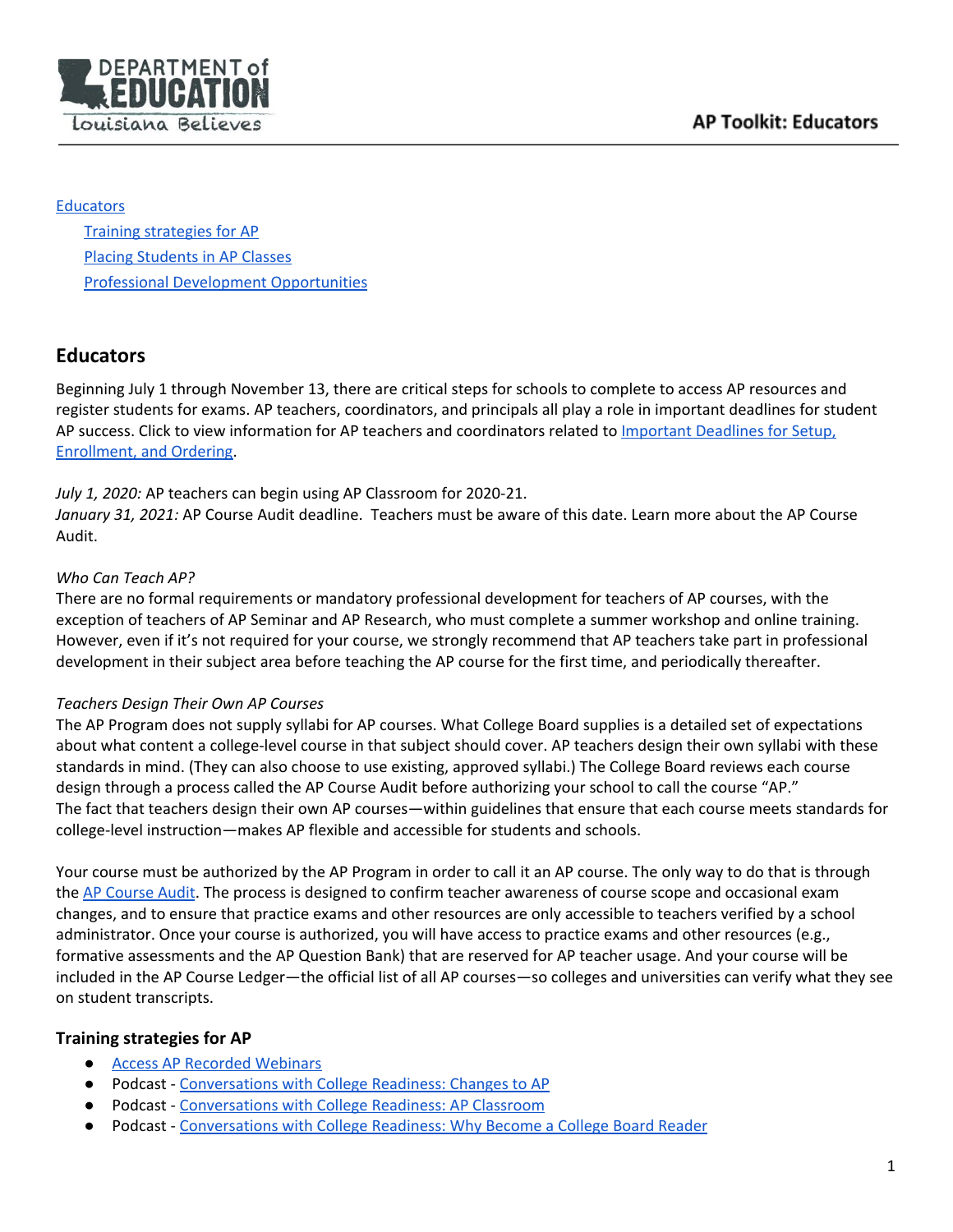

### **[Educators](#page-0-0)**

Training [strategies](#page-0-1) for AP Placing [Students](#page-1-0) in AP Classes Professional Development [Opportunities](#page-1-1)

# <span id="page-0-0"></span>**Educators**

Beginning July 1 through November 13, there are critical steps for schools to complete to access AP resources and register students for exams. AP teachers, coordinators, and principals all play a role in important deadlines for student AP success. Click to view information for AP teachers and coordinators related to [Important](https://apcentral.collegeboard.org/pdf/setup-enrollment-and-ordering-coordinators.pdf) Deadlines for Setup, [Enrollment,](https://apcentral.collegeboard.org/pdf/setup-enrollment-and-ordering-coordinators.pdf) and Ordering.

*July 1, 2020:* AP teachers can begin using AP Classroom for 2020-21.

*January 31, 2021:* AP Course Audit deadline. Teachers must be aware of this date. Learn more about the AP Course Audit.

### *Who Can Teach AP?*

There are no formal requirements or mandatory professional development for teachers of AP courses, with the exception of teachers of AP Seminar and AP Research, who must complete a summer workshop and online training. However, even if it's not required for your course, we strongly recommend that AP teachers take part in professional development in their subject area before teaching the AP course for the first time, and periodically thereafter.

### *Teachers Design Their Own AP Courses*

The AP Program does not supply syllabi for AP courses. What College Board supplies is a detailed set of expectations about what content a college-level course in that subject should cover. AP teachers design their own syllabi with these standards in mind. (They can also choose to use existing, approved syllabi.) The College Board reviews each course design through a process called the AP Course Audit before authorizing your school to call the course "AP." The fact that teachers design their own AP courses—within guidelines that ensure that each course meets standards for college-level instruction—makes AP flexible and accessible for students and schools.

Your course must be authorized by the AP Program in order to call it an AP course. The only way to do that is through the AP [Course](https://apcentral.collegeboard.org/courses/ap-course-audit/explore-by-role/teachers) Audit. The process is designed to confirm teacher awareness of course scope and occasional exam changes, and to ensure that practice exams and other resources are only accessible to teachers verified by a school administrator. Once your course is authorized, you will have access to practice exams and other resources (e.g., formative assessments and the AP Question Bank) that are reserved for AP teacher usage. And your course will be included in the AP Course Ledger—the official list of all AP courses—so colleges and universities can verify what they see on student transcripts.

## <span id="page-0-1"></span>**Training strategies for AP**

- Access AP [Recorded](https://www.gadoe.org/Curriculum-Instruction-and-Assessment/Curriculum-and-Instruction/Pages/Webinars-for-AP-Teachers.aspx) Webinars
- Podcast [Conversations](https://www.podbean.com/eu/pb-nwihd-b9ce03) with College Readiness: Changes to AP
- Podcast [Conversations](https://collegereadiness.podbean.com/mf/play/9hmmcx/Episode_3_Houston_Podcast_final.mp3) with College Readiness: AP Classroom
- Podcast [Conversations](https://www.podbean.com/media/share/pb-a74aj-d583ec) with College Readiness: Why Become a College Board Reader